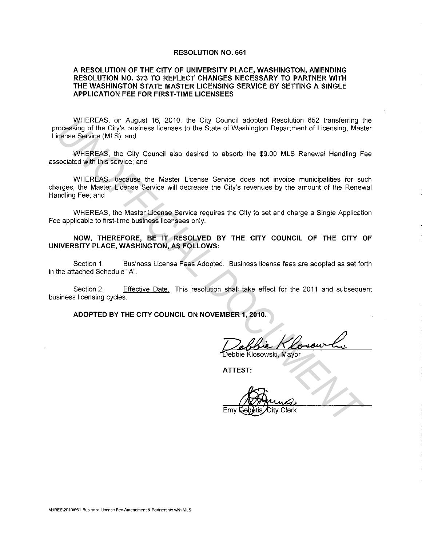#### **RESOLUTION NO. 661**

### **A RESOLUTION OF THE CITY OF UNIVERSITY PLACE, WASHINGTON, AMENDING RESOLUTION NO. 373 TO REFLECT CHANGES NECESSARY TO PARTNER WITH THE WASHINGTON STATE MASTER LICENSING SERVICE BY SETTING A SINGLE APPLICATION FEE FOR FIRST-TIME LICENSEES**

WHEREAS, on August 16, 2010, the City Council adopted Resolution 652 transferring the processing of the City's business licenses to the State of Washington Department of Licensing. Master License Service (MLS); and

WHEREAS. the City Council also desired to absorb the \$9.00 MLS Renewal Handling Fee associated with this service; and

WHEREAS, because the Master License Service does not invoice municipalities for such charges, the Master License Service will decrease the City's revenues by the amount of the Renewal Handling Fee; and WHEREAS, on August 16, 2010, the City Council adopted Resolution 652 transfering the City subsides used the State of Washington Department of Licensing, Master<br>Science Service (MLS); and<br>socialist which the State of Washin

WHEREAS, the Master License Service requires the City to set and charge a Single Application Fee applicable to first-time business licensees only.

**NOW, THEREFORE, BE IT RESOLVED BY THE CITY COUNCIL OF THE CITY OF UNIVERSITY PLACE, WASHINGTON, AS FOLLOWS:** 

Section 1. Business License Fees Adopted. Business license fees are adopted as set forth in the attached Schedule "A".

Section 2. Effective Date. This resolution shall take effect for the 2011 and subsequent business licensing cycles.

**ADOPTED BY THE CITY COUNCIL ON NOVEMBER 1, 2010.** 

**ATTEST:** 

Emy Genetia City Clerk